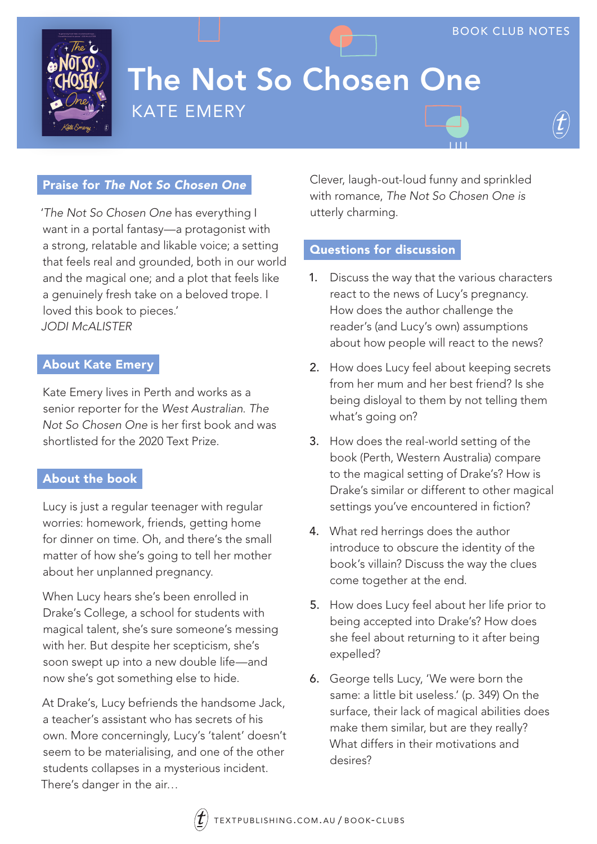

# The Not So Chosen One KATE EMERY

### Praise for *The Not So Chosen One*

'*The Not So Chosen One* has everything I want in a portal fantasy—a protagonist with a strong, relatable and likable voice; a setting that feels real and grounded, both in our world and the magical one; and a plot that feels like a genuinely fresh take on a beloved trope. I loved this book to pieces.' *JODI McALISTER*

#### About Kate Emery

Kate Emery lives in Perth and works as a senior reporter for the *West Australian*. *The Not So Chosen One* is her first book and was shortlisted for the 2020 Text Prize.

#### About the book

Lucy is just a regular teenager with regular worries: homework, friends, getting home for dinner on time. Oh, and there's the small matter of how she's going to tell her mother about her unplanned pregnancy.

When Lucy hears she's been enrolled in Drake's College, a school for students with magical talent, she's sure someone's messing with her. But despite her scepticism, she's soon swept up into a new double life—and now she's got something else to hide.

At Drake's, Lucy befriends the handsome Jack, a teacher's assistant who has secrets of his own. More concerningly, Lucy's 'talent' doesn't seem to be materialising, and one of the other students collapses in a mysterious incident. There's danger in the air…

Clever, laugh-out-loud funny and sprinkled with romance, *The Not So Chosen One is*  utterly charming.

### Questions for discussion

- 1. Discuss the way that the various characters react to the news of Lucy's pregnancy. How does the author challenge the reader's (and Lucy's own) assumptions about how people will react to the news?
- 2. How does Lucy feel about keeping secrets from her mum and her best friend? Is she being disloyal to them by not telling them what's going on?
- 3. How does the real-world setting of the book (Perth, Western Australia) compare to the magical setting of Drake's? How is Drake's similar or different to other magical settings you've encountered in fiction?
- 4. What red herrings does the author introduce to obscure the identity of the book's villain? Discuss the way the clues come together at the end.
- 5. How does Lucy feel about her life prior to being accepted into Drake's? How does she feel about returning to it after being expelled?
- 6. George tells Lucy, 'We were born the same: a little bit useless.' (p. 349) On the surface, their lack of magical abilities does make them similar, but are they really? What differs in their motivations and desires?